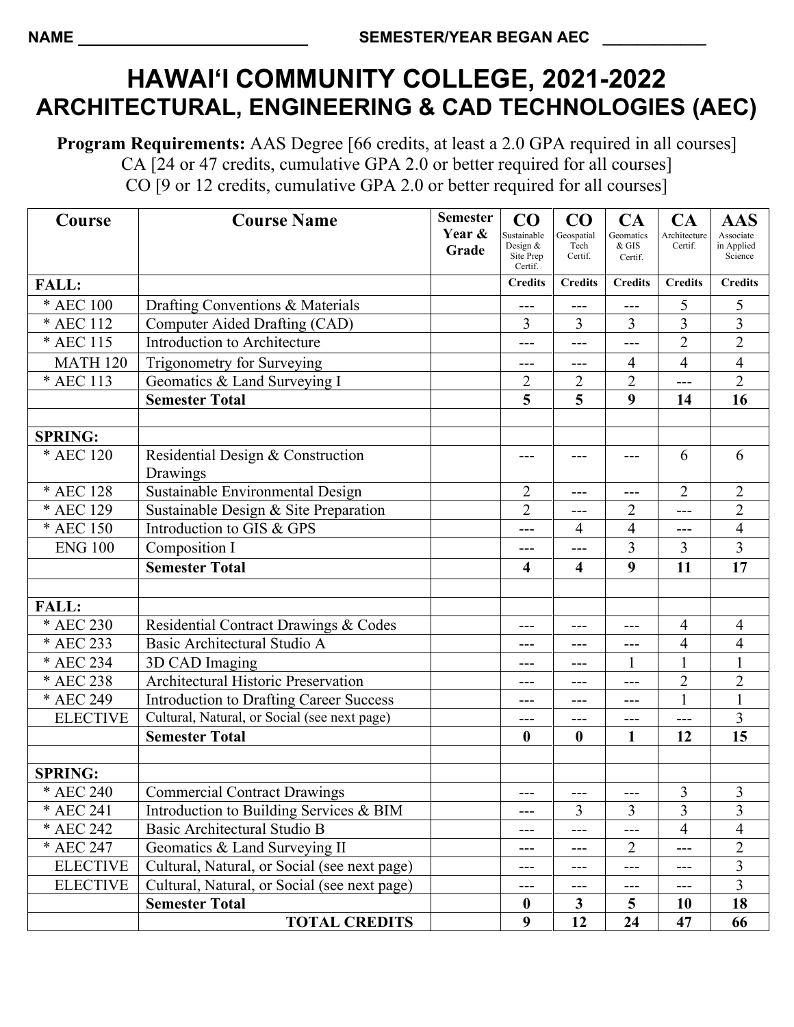# **HAWAI'I COMMUNITY COLLEGE, 2021-2022 ARCHITECTURAL, ENGINEERING & CAD TECHNOLOGIES (AEC)**

**Program Requirements:** AAS Degree [66 credits, at least a 2.0 GPA required in all courses] CA [24 or 47 credits, cumulative GPA 2.0 or better required for all courses] CO [9 or 12 credits, cumulative GPA 2.0 or better required for all courses]

| Course          | <b>Course Name</b>                             | <b>Semester</b> | CO                        | $\bf CO$                | CA                   | CA                      | <b>AAS</b>            |
|-----------------|------------------------------------------------|-----------------|---------------------------|-------------------------|----------------------|-------------------------|-----------------------|
|                 |                                                | Year &          | Sustainable<br>Design $&$ | Geospatial              | Geomatics<br>$&$ GIS | Architecture<br>Certif. | Associate             |
|                 |                                                | Grade           | Site Prep                 | Tech<br>Certif.         | Certif.              |                         | in Applied<br>Science |
| <b>FALL:</b>    |                                                |                 | Certif.<br><b>Credits</b> | <b>Credits</b>          | <b>Credits</b>       | <b>Credits</b>          | <b>Credits</b>        |
| * AEC 100       | Drafting Conventions & Materials               |                 |                           |                         |                      | 5                       | 5                     |
| * AEC 112       | Computer Aided Drafting (CAD)                  |                 | ---<br>3                  | $---$<br>3              | $---$<br>3           | $\overline{3}$          | $\overline{3}$        |
| * AEC 115       | Introduction to Architecture                   |                 |                           | ---                     | ---                  | $\overline{2}$          | $\overline{2}$        |
|                 |                                                |                 | ---                       |                         |                      |                         |                       |
| <b>MATH 120</b> | Trigonometry for Surveying                     |                 | ---                       | ---                     | 4                    | 4                       | $\overline{4}$        |
| * AEC 113       | Geomatics & Land Surveying I                   |                 | $\overline{c}$            | $\overline{2}$          | $\overline{2}$       | ---                     | $\overline{2}$        |
|                 | <b>Semester Total</b>                          |                 | 5                         | 5                       | 9                    | 14                      | 16                    |
|                 |                                                |                 |                           |                         |                      |                         |                       |
| <b>SPRING:</b>  |                                                |                 |                           |                         |                      |                         |                       |
| * AEC 120       | Residential Design & Construction<br>Drawings  |                 |                           | ---                     | ---                  | 6                       | 6                     |
| * AEC 128       | Sustainable Environmental Design               |                 | $\overline{2}$            | ---                     | $---$                | $\overline{2}$          | $\overline{2}$        |
| * AEC 129       | Sustainable Design & Site Preparation          |                 | $\overline{2}$            | $---$                   | 2                    | ---                     | $\overline{2}$        |
| * AEC 150       | Introduction to GIS & GPS                      |                 | ---                       | $\overline{4}$          | 4                    | ---                     | $\overline{4}$        |
| <b>ENG 100</b>  | Composition I                                  |                 | ---                       | ---                     | 3                    | 3                       | $\overline{3}$        |
|                 | <b>Semester Total</b>                          |                 | $\overline{\mathbf{4}}$   | $\overline{\mathbf{4}}$ | 9                    | 11                      | 17                    |
|                 |                                                |                 |                           |                         |                      |                         |                       |
| <b>FALL:</b>    |                                                |                 |                           |                         |                      |                         |                       |
| * AEC 230       | Residential Contract Drawings & Codes          |                 | ---                       | ---                     | ---                  | 4                       | $\overline{4}$        |
| * AEC 233       | Basic Architectural Studio A                   |                 | ---                       | ---                     | ---                  | 4                       | $\overline{4}$        |
| * AEC 234       | 3D CAD Imaging                                 |                 | ---                       | $---$                   |                      | $\mathbf{1}$            | $\mathbf{1}$          |
| * AEC 238       | Architectural Historic Preservation            |                 |                           | ---                     | ---                  | $\overline{2}$          | $\overline{2}$        |
| * AEC 249       | <b>Introduction to Drafting Career Success</b> |                 | ---                       | ---                     |                      | $\mathbf{1}$            | $\mathbf{1}$          |
| <b>ELECTIVE</b> | Cultural, Natural, or Social (see next page)   |                 | ---                       | $---$                   | $---$                | ---                     | 3                     |
|                 | <b>Semester Total</b>                          |                 | $\boldsymbol{0}$          | $\boldsymbol{0}$        | 1                    | 12                      | 15                    |
|                 |                                                |                 |                           |                         |                      |                         |                       |
| <b>SPRING:</b>  |                                                |                 |                           |                         |                      |                         |                       |
| * AEC 240       | <b>Commercial Contract Drawings</b>            |                 | ---                       | ---                     | $---$                | $\mathfrak{Z}$          | $\mathfrak{Z}$        |
| * AEC 241       | Introduction to Building Services & BIM        |                 | ---                       | 3                       | 3                    | $\overline{3}$          | 3                     |
| * AEC 242       | Basic Architectural Studio B                   |                 | ---                       | ---                     | ---                  | $\overline{4}$          | $\overline{4}$        |
| * AEC 247       | Geomatics & Land Surveying II                  |                 | ---                       | $---$                   | $\overline{2}$       | ---                     | $\overline{2}$        |
| <b>ELECTIVE</b> | Cultural, Natural, or Social (see next page)   |                 |                           | ---                     |                      |                         | $\overline{3}$        |
| <b>ELECTIVE</b> | Cultural, Natural, or Social (see next page)   |                 | ---                       | ---                     | ---                  | ---                     | $\overline{3}$        |
|                 | <b>Semester Total</b>                          |                 | $\bf{0}$                  | $\mathbf{3}$            | $\overline{5}$       | 10                      | 18                    |
|                 | <b>TOTAL CREDITS</b>                           |                 | 9                         | 12                      | 24                   | 47                      | 66                    |